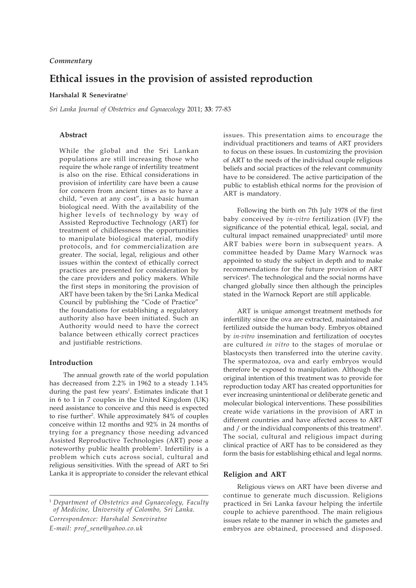# **Ethical issues in the provision of assisted reproduction**

#### **Harshalal R Seneviratne**<sup>1</sup>

*Sri Lanka Journal of Obstetrics and Gynaecology* 2011; **33**: 77-83

# **Abstract**

While the global and the Sri Lankan populations are still increasing those who require the whole range of infertility treatment is also on the rise. Ethical considerations in provision of infertility care have been a cause for concern from ancient times as to have a child, "even at any cost", is a basic human biological need. With the availability of the higher levels of technology by way of Assisted Reproductive Technology (ART) for treatment of childlessness the opportunities to manipulate biological material, modify protocols, and for commercialization are greater. The social, legal, religious and other issues within the context of ethically correct practices are presented for consideration by the care providers and policy makers. While the first steps in monitoring the provision of ART have been taken by the Sri Lanka Medical Council by publishing the "Code of Practice" the foundations for establishing a regulatory authority also have been initiated. Such an Authority would need to have the correct balance between ethically correct practices and justifiable restrictions.

# **Introduction**

The annual growth rate of the world population has decreased from 2.2% in 1962 to a steady 1.14% during the past few years<sup>1</sup>. Estimates indicate that 1 in 6 to 1 in 7 couples in the United Kingdom (UK) need assistance to conceive and this need is expected to rise further2 . While approximately 84% of couples conceive within 12 months and 92% in 24 months of trying for a pregnancy those needing advanced Assisted Reproductive Technologies (ART) pose a noteworthy public health problem2 . Infertility is a problem which cuts across social, cultural and religious sensitivities. With the spread of ART to Sri Lanka it is appropriate to consider the relevant ethical issues. This presentation aims to encourage the individual practitioners and teams of ART providers to focus on these issues. In customizing the provision of ART to the needs of the individual couple religious beliefs and social practices of the relevant community have to be considered. The active participation of the public to establish ethical norms for the provision of ART is mandatory.

Following the birth on 7th July 1978 of the first baby conceived by *in-vitro* fertilization (IVF) the significance of the potential ethical, legal, social, and cultural impact remained unappreciated<sup>3</sup> until more ART babies were born in subsequent years. A committee headed by Dame Mary Warnock was appointed to study the subject in depth and to make recommendations for the future provision of ART services<sup>4</sup>. The technological and the social norms have changed globally since then although the principles stated in the Warnock Report are still applicable.

ART is unique amongst treatment methods for infertility since the ova are extracted, maintained and fertilized outside the human body. Embryos obtained by *in-vitro* insemination and fertilization of oocytes are cultured *in vitro* to the stages of morulae or blastocysts then transferred into the uterine cavity. The spermatozoa, ova and early embryos would therefore be exposed to manipulation. Although the original intention of this treatment was to provide for reproduction today ART has created opportunities for ever increasing unintentional or deliberate genetic and molecular biological interventions. These possibilities create wide variations in the provision of ART in different countries and have affected access to ART and  $/$  or the individual components of this treatment<sup>5</sup>. The social, cultural and religious impact during clinical practice of ART has to be considered as they form the basis for establishing ethical and legal norms.

#### **Religion and ART**

Religious views on ART have been diverse and continue to generate much discussion. Religions practiced in Sri Lanka favour helping the infertile couple to achieve parenthood. The main religious issues relate to the manner in which the gametes and embryos are obtained, processed and disposed.

<sup>1</sup> *Department of Obstetrics and Gynaecology, Faculty of Medicine, University of Colombo, Sri Lanka. Correspondence: Harshalal Seneviratne E-mail: prof\_sene@yahoo.co.uk*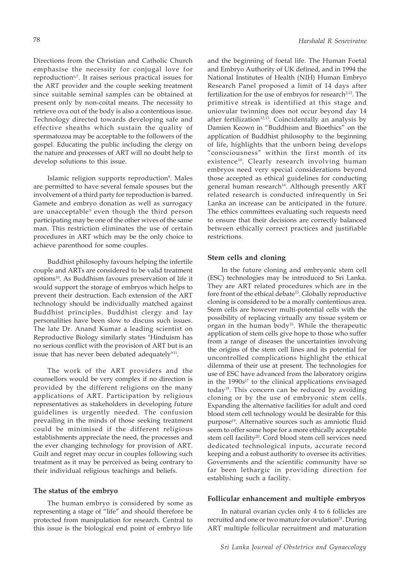Directions from the Christian and Catholic Church emphasise the necessity for conjugal love for reproduction<sup>6,7</sup>. It raises serious practical issues for the ART provider and the couple seeking treatment since suitable seminal samples can be obtained at present only by non-coital means. The necessity to retrieve ova out of the body is also a contentious issue. Technology directed towards developing safe and effective sheaths which sustain the quality of spermatozoa may be acceptable to the followers of the gospel. Educating the public including the clergy on the nature and processes of ART will no doubt help to develop solutions to this issue.

Islamic religion supports reproduction<sup>8</sup>. Males are permitted to have several female spouses but the involvement of a third party for reproduction is barred. Gamete and embryo donation as well as surrogacy are unacceptable<sup>9</sup> even though the third person participating may be one of the other wives of the same man. This restriction eliminates the use of certain procedures in ART which may be the only choice to achieve parenthood for some couples.

Buddhist philosophy favours helping the infertile couple and ARTs are considered to be valid treatment options10. As Buddhism favours preservation of life it would support the storage of embryos which helps to prevent their destruction. Each extension of the ART technology should be individually matched against Buddhist principles. Buddhist clergy and lay personalities have been slow to discuss such issues. The late Dr. Anand Kumar a leading scientist on Reproductive Biology similarly states "Hinduism has no serious conflict with the provision of ART but is an issue that has never been debated adequately"<sup>11</sup>.

The work of the ART providers and the counsellors would be very complex if no direction is provided by the different religions on the many applications of ART. Participation by religious representatives as stakeholders in developing future guidelines is urgently needed. The confusion prevailing in the minds of those seeking treatment could be minimised if the different religious establishments appreciate the need, the processes and the ever changing technology for provision of ART. Guilt and regret may occur in couples following such treatment as it may be perceived as being contrary to their individual religious teachings and beliefs.

#### **The status of the embryo**

The human embryo is considered by some as representing a stage of "life" and should therefore be protected from manipulation for research. Central to this issue is the biological end point of embryo life

and the beginning of foetal life. The Human Foetal and Embryo Authority of UK defined, and in 1994 the National Institutes of Health (NIH) Human Embryo Research Panel proposed a limit of 14 days after fertilization for the use of embryos for research<sup>2,12</sup>. The primitive streak is identified at this stage and uniovular twinning does not occur beyond day 14 after fertilization<sup>12,13</sup>. Coincidentally an analysis by Damien Keown in "Buddhism and Bioethics" on the application of Buddhist philosophy to the beginning of life, highlights that the unborn being develops "consciousness" within the first month of its existence<sup>10</sup>. Clearly research involving human embryos need very special considerations beyond those accepted as ethical guidelines for conducting general human research<sup>14</sup>. Although presently ART related research is conducted infrequently in Sri Lanka an increase can be anticipated in the future. The ethics committees evaluating such requests need to ensure that their decisions are correctly balanced between ethically correct practices and justifiable restrictions.

### **Stem cells and cloning**

In the future cloning and embryonic stem cell (ESC) technologies may be introduced to Sri Lanka. They are ART related procedures which are in the fore front of the ethical debate<sup>15</sup>. Globally reproductive cloning is considered to be a morally contentious area. Stem cells are however multi-potential cells with the possibility of replacing virtually any tissue system or organ in the human body<sup>16</sup>. While the therapeutic application of stem cells give hope to those who suffer from a range of diseases the uncertainties involving the origins of the stem cell lines and its potential for uncontrolled complications highlight the ethical dilemma of their use at present. The technologies for use of ESC have advanced from the laboratory origins in the  $1990s^{17}$  to the clinical applications envisaged today<sup>18</sup>. This concern can be reduced by avoiding cloning or by the use of embryonic stem cells. Expanding the alternative facilities for adult and cord blood stem cell technology would be desirable for this purpose<sup>19</sup>. Alternative sources such as amniotic fluid seem to offer some hope for a more ethically acceptable stem cell facility<sup>20</sup>. Cord blood stem cell services need dedicated technological inputs, accurate record keeping and a robust authority to oversee its activities. Governments and the scientific community have so far been lethargic in providing direction for establishing such a facility.

#### **Follicular enhancement and multiple embryos**

In natural ovarian cycles only 4 to 6 follicles are recruited and one or two mature for ovulation<sup>21</sup>. During ART multiple follicular recruitment and maturation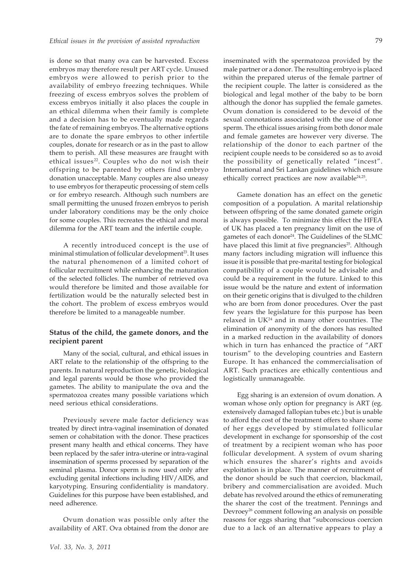is done so that many ova can be harvested. Excess embryos may therefore result per ART cycle. Unused embryos were allowed to perish prior to the availability of embryo freezing techniques. While freezing of excess embryos solves the problem of excess embryos initially it also places the couple in an ethical dilemma when their family is complete and a decision has to be eventually made regards the fate of remaining embryos. The alternative options are to donate the spare embryos to other infertile couples, donate for research or as in the past to allow them to perish. All these measures are fraught with ethical issues<sup>22</sup>. Couples who do not wish their offspring to be parented by others find embryo donation unacceptable. Many couples are also uneasy to use embryos for therapeutic processing of stem cells or for embryo research. Although such numbers are small permitting the unused frozen embryos to perish under laboratory conditions may be the only choice for some couples. This recreates the ethical and moral dilemma for the ART team and the infertile couple.

A recently introduced concept is the use of minimal stimulation of follicular development<sup>23</sup>. It uses the natural phenomenon of a limited cohort of follicular recruitment while enhancing the maturation of the selected follicles. The number of retrieved ova would therefore be limited and those available for fertilization would be the naturally selected best in the cohort. The problem of excess embryos would therefore be limited to a manageable number.

# **Status of the child, the gamete donors, and the recipient parent**

Many of the social, cultural, and ethical issues in ART relate to the relationship of the offspring to the parents. In natural reproduction the genetic, biological and legal parents would be those who provided the gametes. The ability to manipulate the ova and the spermatozoa creates many possible variations which need serious ethical considerations.

Previously severe male factor deficiency was treated by direct intra-vaginal insemination of donated semen or cohabitation with the donor. These practices present many health and ethical concerns. They have been replaced by the safer intra-uterine or intra-vaginal insemination of sperms processed by separation of the seminal plasma. Donor sperm is now used only after excluding genital infections including HIV/AIDS, and karyotyping. Ensuring confidentiality is mandatory. Guidelines for this purpose have been established, and need adherence.

Ovum donation was possible only after the availability of ART. Ova obtained from the donor are inseminated with the spermatozoa provided by the male partner or a donor. The resulting embryo is placed within the prepared uterus of the female partner of the recipient couple. The latter is considered as the biological and legal mother of the baby to be born although the donor has supplied the female gametes. Ovum donation is considered to be devoid of the sexual connotations associated with the use of donor sperm. The ethical issues arising from both donor male and female gametes are however very diverse. The relationship of the donor to each partner of the recipient couple needs to be considered so as to avoid the possibility of genetically related "incest". International and Sri Lankan guidelines which ensure ethically correct practices are now available24,25.

Gamete donation has an effect on the genetic composition of a population. A marital relationship between offspring of the same donated gamete origin is always possible. To minimize this effect the HFEA of UK has placed a ten pregnancy limit on the use of gametes of each donor<sup>24</sup>. The Guidelines of the SLMC have placed this limit at five pregnancies<sup>25</sup>. Although many factors including migration will influence this issue it is possible that pre-marital testing for biological compatibility of a couple would be advisable and could be a requirement in the future. Linked to this issue would be the nature and extent of information on their genetic origins that is divulged to the children who are born from donor procedures. Over the past few years the legislature for this purpose has been relaxed in UK24 and in many other countries. The elimination of anonymity of the donors has resulted in a marked reduction in the availability of donors which in turn has enhanced the practice of "ART tourism" to the developing countries and Eastern Europe. It has enhanced the commercialisation of ART. Such practices are ethically contentious and logistically unmanageable.

Egg sharing is an extension of ovum donation. A woman whose only option for pregnancy is ART (eg. extensively damaged fallopian tubes etc.) but is unable to afford the cost of the treatment offers to share some of her eggs developed by stimulated follicular development in exchange for sponsorship of the cost of treatment by a recipient woman who has poor follicular development. A system of ovum sharing which ensures the sharer's rights and avoids exploitation is in place. The manner of recruitment of the donor should be such that coercion, blackmail, bribery and commercialisation are avoided. Much debate has revolved around the ethics of remunerating the sharer the cost of the treatment. Pennings and Devroey<sup>26</sup> comment following an analysis on possible reasons for eggs sharing that "subconscious coercion due to a lack of an alternative appears to play a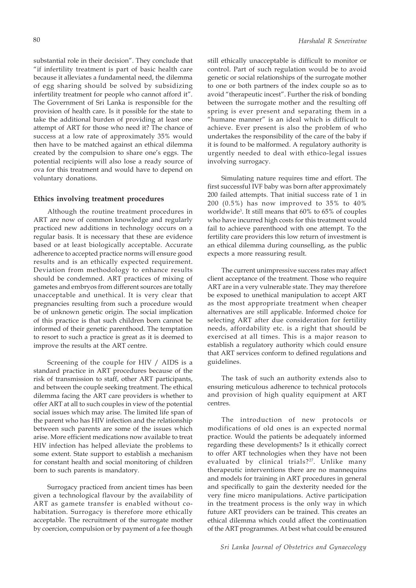substantial role in their decision". They conclude that "if infertility treatment is part of basic health care because it alleviates a fundamental need, the dilemma of egg sharing should be solved by subsidizing infertility treatment for people who cannot afford it". The Government of Sri Lanka is responsible for the provision of health care. Is it possible for the state to take the additional burden of providing at least one attempt of ART for those who need it? The chance of success at a low rate of approximately 35% would then have to be matched against an ethical dilemma created by the compulsion to share one's eggs. The potential recipients will also lose a ready source of ova for this treatment and would have to depend on voluntary donations.

# **Ethics involving treatment procedures**

Although the routine treatment procedures in ART are now of common knowledge and regularly practiced new additions in technology occurs on a regular basis. It is necessary that these are evidence based or at least biologically acceptable. Accurate adherence to accepted practice norms will ensure good results and is an ethically expected requirement. Deviation from methodology to enhance results should be condemned. ART practices of mixing of gametes and embryos from different sources are totally unacceptable and unethical. It is very clear that pregnancies resulting from such a procedure would be of unknown genetic origin. The social implication of this practice is that such children born cannot be informed of their genetic parenthood. The temptation to resort to such a practice is great as it is deemed to improve the results at the ART centre.

Screening of the couple for HIV / AIDS is a standard practice in ART procedures because of the risk of transmission to staff, other ART participants, and between the couple seeking treatment. The ethical dilemma facing the ART care providers is whether to offer ART at all to such couples in view of the potential social issues which may arise. The limited life span of the parent who has HIV infection and the relationship between such parents are some of the issues which arise. More efficient medications now available to treat HIV infection has helped alleviate the problems to some extent. State support to establish a mechanism for constant health and social monitoring of children born to such parents is mandatory.

Surrogacy practiced from ancient times has been given a technological flavour by the availability of ART as gamete transfer is enabled without cohabitation. Surrogacy is therefore more ethically acceptable. The recruitment of the surrogate mother by coercion, compulsion or by payment of a fee though

still ethically unacceptable is difficult to monitor or control. Part of such regulation would be to avoid genetic or social relationships of the surrogate mother to one or both partners of the index couple so as to avoid "therapeutic incest". Further the risk of bonding between the surrogate mother and the resulting off spring is ever present and separating them in a "humane manner" is an ideal which is difficult to achieve. Ever present is also the problem of who undertakes the responsibility of the care of the baby if it is found to be malformed. A regulatory authority is urgently needed to deal with ethico-legal issues involving surrogacy.

Simulating nature requires time and effort. The first successful IVF baby was born after approximately 200 failed attempts. That initial success rate of 1 in 200 (0.5%) has now improved to 35% to 40% worldwide3 . It still means that 60% to 65% of couples who have incurred high costs for this treatment would fail to achieve parenthood with one attempt. To the fertility care providers this low return of investment is an ethical dilemma during counselling, as the public expects a more reassuring result.

The current unimpressive success rates may affect client acceptance of the treatment. Those who require ART are in a very vulnerable state. They may therefore be exposed to unethical manipulation to accept ART as the most appropriate treatment when cheaper alternatives are still applicable. Informed choice for selecting ART after due consideration for fertility needs, affordability etc. is a right that should be exercised at all times. This is a major reason to establish a regulatory authority which could ensure that ART services conform to defined regulations and guidelines.

The task of such an authority extends also to ensuring meticulous adherence to technical protocols and provision of high quality equipment at ART centres.

The introduction of new protocols or modifications of old ones is an expected normal practice. Would the patients be adequately informed regarding these developments? Is it ethically correct to offer ART technologies when they have not been evaluated by clinical trials?<sup>27</sup>. Unlike many therapeutic interventions there are no mannequins and models for training in ART procedures in general and specifically to gain the dexterity needed for the very fine micro manipulations. Active participation in the treatment process is the only way in which future ART providers can be trained. This creates an ethical dilemma which could affect the continuation of the ART programmes. At best what could be ensured

*Sri Lanka Journal of Obstetrics and Gynaecology*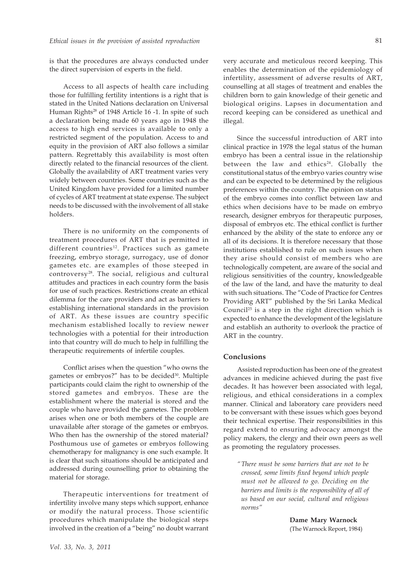is that the procedures are always conducted under the direct supervision of experts in the field.

Access to all aspects of health care including those for fulfilling fertility intentions is a right that is stated in the United Nations declaration on Universal Human Rights<sup>28</sup> of 1948 Article 16 -1. In spite of such a declaration being made 60 years ago in 1948 the access to high end services is available to only a restricted segment of the population. Access to and equity in the provision of ART also follows a similar pattern. Regrettably this availability is most often directly related to the financial resources of the client. Globally the availability of ART treatment varies very widely between countries. Some countries such as the United Kingdom have provided for a limited number of cycles of ART treatment at state expense. The subject needs to be discussed with the involvement of all stake holders.

There is no uniformity on the components of treatment procedures of ART that is permitted in different countries<sup>12</sup>. Practices such as gamete freezing, embryo storage, surrogacy, use of donor gametes etc. are examples of those steeped in controversy<sup>28</sup>. The social, religious and cultural attitudes and practices in each country form the basis for use of such practices. Restrictions create an ethical dilemma for the care providers and act as barriers to establishing international standards in the provision of ART. As these issues are country specific mechanism established locally to review newer technologies with a potential for their introduction into that country will do much to help in fulfilling the therapeutic requirements of infertile couples.

Conflict arises when the question "who owns the gametes or embryos?" has to be decided<sup>30</sup>. Multiple participants could claim the right to ownership of the stored gametes and embryos. These are the establishment where the material is stored and the couple who have provided the gametes. The problem arises when one or both members of the couple are unavailable after storage of the gametes or embryos. Who then has the ownership of the stored material? Posthumous use of gametes or embryos following chemotherapy for malignancy is one such example. It is clear that such situations should be anticipated and addressed during counselling prior to obtaining the material for storage.

Therapeutic interventions for treatment of infertility involve many steps which support, enhance or modify the natural process. Those scientific procedures which manipulate the biological steps involved in the creation of a "being" no doubt warrant very accurate and meticulous record keeping. This enables the determination of the epidemiology of infertility, assessment of adverse results of ART, counselling at all stages of treatment and enables the children born to gain knowledge of their genetic and biological origins. Lapses in documentation and record keeping can be considered as unethical and illegal.

Since the successful introduction of ART into clinical practice in 1978 the legal status of the human embryo has been a central issue in the relationship between the law and ethics<sup>24</sup>. Globally the constitutional status of the embryo varies country wise and can be expected to be determined by the religious preferences within the country. The opinion on status of the embryo comes into conflict between law and ethics when decisions have to be made on embryo research, designer embryos for therapeutic purposes, disposal of embryos etc. The ethical conflict is further enhanced by the ability of the state to enforce any or all of its decisions. It is therefore necessary that those institutions established to rule on such issues when they arise should consist of members who are technologically competent, are aware of the social and religious sensitivities of the country, knowledgeable of the law of the land, and have the maturity to deal with such situations. The "Code of Practice for Centres Providing ART" published by the Sri Lanka Medical Council<sup>25</sup> is a step in the right direction which is expected to enhance the development of the legislature and establish an authority to overlook the practice of ART in the country.

# **Conclusions**

Assisted reproduction has been one of the greatest advances in medicine achieved during the past five decades. It has however been associated with legal, religious, and ethical considerations in a complex manner. Clinical and laboratory care providers need to be conversant with these issues which goes beyond their technical expertise. Their responsibilities in this regard extend to ensuring advocacy amongst the policy makers, the clergy and their own peers as well as promoting the regulatory processes.

*"There must be some barriers that are not to be crossed, some limits fixed beyond which people must not be allowed to go. Deciding on the barriers and limits is the responsibility of all of us based on our social, cultural and religious norms"*

> **Dame Mary Warnock** (The Warnock Report, 1984)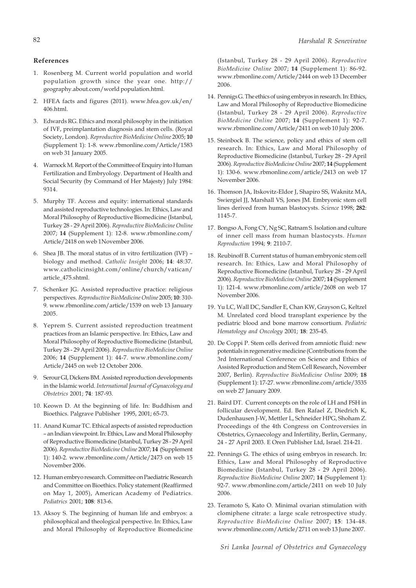# **References**

- 1. Rosenberg M. Current world population and world population growth since the year one. http:// geography.about.com/world population.html.
- 2. HFEA facts and figures (2011). www.hfea.gov.uk/en/ 406.html.
- 3. Edwards RG. Ethics and moral philosophy in the initiation of IVF, preimplantation diagnosis and stem cells. (Royal Society, London). *Reproductive BioMedicine Online* 2005; **10** (Supplement 1): 1-8. www.rbmonline.com/Article/1583 on web 31 January 2005.
- 4. Warnock M. Report of the Committee of Enquiry into Human Fertilization and Embryology. Department of Health and Social Security (by Command of Her Majesty) July 1984: 9314.
- 5. Murphy TF. Access and equity: international standards and assisted reproductive technologies. In: Ethics, Law and Moral Philosophy of Reproductive Biomedicine (Istanbul, Turkey 28 - 29 April 2006). *Reproductive BioMedicine Online* 2007; **14** (Supplement 1): 12-8. www.rbmonline.com/ Article/2418 on web 1November 2006.
- 6. Shea JB. The moral status of in vitro fertilization (IVF) biology and method. *Catholic Insight* 2006; **14**: 48:37. www.catholicinsight.com/online/church/vatican/ article\_475.shtml.
- 7. Schenker JG. Assisted reproductive practice: religious perspectives. *Reproductive BioMedicine Online* 2005; **10**: 310- 9. www.rbmonline.com/article/1539 on web 13 January 2005.
- 8. Yeprem S. Current assisted reproduction treatment practices from an Islamic perspective. In: Ethics, Law and Moral Philosophy of Reproductive Biomedicine (Istanbul, Turkey 28 - 29 April 2006). *Reproductive BioMedicine Online* 2006; **14** (Supplement 1): 44-7. www.rbmonline.com/ Article/2445 on web 12 October 2006.
- 9. Serour GI, Dickens BM. Assisted reproduction developments in the Islamic world. *International Journal of Gynaecology and Obstetrics* 2001; **74**: 187-93.
- 10. Keown D. At the beginning of life. In: Buddhism and Bioethics. Palgrave Publisher 1995, 2001; 65-73.
- 11. Anand Kumar TC. Ethical aspects of assisted reproduction – an Indian viewpoint. In: Ethics, Law and Moral Philosophy of Reproductive Biomedicine (Istanbul, Turkey 28 - 29 April 2006). *Reproductive BioMedicine Online* 2007; **14** (Supplement 1): 140-2. www.rbmonline.com/Article/2473 on web 15 November 2006.
- 12. Human embryo research. Committee on Paediatric Research and Committee on Bioethics. Policy statement (Reaffirmed on May 1, 2005), American Academy of Pediatrics. *Pediatrics* 2001; **108**: 813-6.
- 13. Aksoy S. The beginning of human life and embryos: a philosophical and theological perspective. In: Ethics, Law and Moral Philosophy of Reproductive Biomedicine

(Istanbul, Turkey 28 - 29 April 2006). *Reproductive BioMedicine Online* 2007; **14** (Supplement 1): 86-92. www.rbmonline.com/Article/2444 on web 13 December 2006.

- 14. Pennigs G. The ethics of using embryos in research. In: Ethics, Law and Moral Philosophy of Reproductive Biomedicine (Istanbul, Turkey 28 - 29 April 2006). *Reproductive BioMedicine Online* 2007; **14** (Supplement 1): 92-7. www.rbmonline.com/Article/2411 on web 10 July 2006.
- 15. Steinbock B. The science, policy and ethics of stem cell research. In: Ethics, Law and Moral Philosophy of Reproductive Biomedicine (Istanbul, Turkey 28 - 29 April 2006). *Reproductive BioMedicine Online* 2007; **14** (Supplement 1): 130-6. www.rbmonline.com/article/2413 on web 17 November 2006.
- 16. Thomson JA, Itskovitz-Eldor J, Shapiro SS, Waknitz MA, Swiergiel JJ, Marshall VS, Jones JM. Embryonic stem cell lines derived from human blastocysts. *Science* 1998; **282**: 1145-7.
- 17. Bongso A, Fong CY, Ng SC, Ratnam S. Isolation and culture of inner cell mass from human blastocysts. *Human Reproduction* 1994; **9**: 2110-7.
- 18. Reubinoff B. Current status of human embryonic stem cell research. In: Ethics, Law and Moral Philosophy of Reproductive Biomedicine (Istanbul, Turkey 28 - 29 April 2006). *Reproductive BioMedicine Online* 2007; **14** (Supplement 1): 121-4. www.rbmonline.com/article/2608 on web 17 November 2006.
- 19. Yu LC, Wall DC, Sandler E, Chan KW, Grayson G, Keltzel M. Unrelated cord blood transplant experience by the pediatric blood and bone marrow consortium. *Pediatric Hematology and Oncology* 2001; **18**: 235-45.
- 20. De Coppi P. Stem cells derived from amniotic fluid: new potentials in regenerative medicine (Contributions from the 3rd International Conference on Science and Ethics of Assisted Reproduction and Stem Cell Research, November 2007, Berlin). *Reproductive BioMedicine Online* 2009; **18** (Supplement 1): 17-27. www.rbmonline.com/article/3535 on web 27 January 2009.
- 21. Baird DT. Current concepts on the role of LH and FSH in follicular development. Ed. Ben Rafael Z, Diedrich K, Dudenhausen J-W, Mettler L, Schneider HPG, Shoham Z. Proceedings of the 4th Congress on Controversies in Obstetrics, Gynaecology and Infertility, Berlin, Germany, 24 - 27 April 2003. E Oren Publisher Ltd, Israel. 214-21.
- 22. Pennings G. The ethics of using embryos in research. In: Ethics, Law and Moral Philosophy of Reproductive Biomedicine (Istanbul, Turkey 28 - 29 April 2006). *Reproductive BioMedicine Online* 2007; **14** (Supplement 1): 92-7. www.rbmonline.com/article/2411 on web 10 July 2006.
- 23. Teramoto S, Kato O. Minimal ovarian stimulation with clomiphene citrate: a large scale retrospective study. *Reproductive BioMedicine Online* 2007; **15**: 134-48. www.rbmonline.com/Article/2711 on web 13 June 2007.

*Sri Lanka Journal of Obstetrics and Gynaecology*